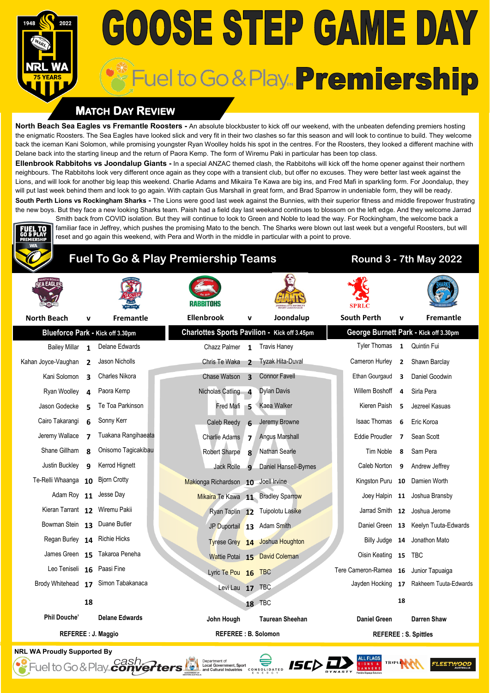# **GOOSE STEP GAME DAY** Fuel to Go & Play... Premiership

### **MATCH DAY REVIEW**

**North Beach Sea Eagles vs Fremantle Roosters -** An absolute blockbuster to kick off our weekend, with the unbeaten defending premiers hosting the enigmatic Roosters. The Sea Eagles have looked slick and very fit in their two clashes so far this season and will look to continue to build. They welcome back the iceman Kani Solomon, while promising youngster Ryan Woolley holds his spot in the centres. For the Roosters, they looked a different machine with Delane back into the starting lineup and the return of Paora Kemp. The form of Wiremu Paki in particular has been top class.

**Ellenbrook Rabbitohs vs Joondalup Giants -** In a special ANZAC themed clash, the Rabbitohs will kick off the home opener against their northern neighbours. The Rabbitohs look very different once again as they cope with a transient club, but offer no excuses. They were better last week against the Lions, and will look for another big leap this weekend. Charlie Adams and Mikaira Te Kawa are big ins, and Fred Mafi in sparkling form. For Joondalup, they will put last week behind them and look to go again. With captain Gus Marshall in great form, and Brad Sparrow in undeniable form, they will be ready. **South Perth Lions vs Rockingham Sharks -** The Lions were good last week against the Bunnies, with their superior fitness and middle firepower frustrating the new boys. But they face a new looking Sharks team. Paish had a field day last weekand continues to blossom on the left edge. And they welcome Jarrad

Smith back from COVID isolation. But they will continue to look to Green and Noble to lead the way. For Rockingham, the welcome back a familiar face in Jeffrey, which pushes the promising Mato to the bench. The Sharks were blown out last week but a vengeful Roosters, but will

## **Fuel To Go & Play Premiership Teams Round 3 - 7th May 2022**

reset and go again this weekend, with Pera and Worth in the middle in particular with a point to prove.

| A EAGL                           |                          |                                     |                                              |                            |                                    |  |                                       |                |                                         |
|----------------------------------|--------------------------|-------------------------------------|----------------------------------------------|----------------------------|------------------------------------|--|---------------------------------------|----------------|-----------------------------------------|
| <b>North Beach</b>               | v                        | Fremantle                           | <b>Ellenbrook</b>                            | v                          | Joondalup                          |  | <b>South Perth</b>                    | v              | <b>Fremantle</b>                        |
|                                  |                          | Blueforce Park - Kick off 3.30pm    | Charlottes Sports Pavilion - Kick off 3.45pm |                            |                                    |  |                                       |                | George Burnett Park - Kick off 3.30pm   |
| <b>Bailey Millar</b>             | $\mathbf{1}$             | Delane Edwards                      | Chazz Palmer 1 Travis Haney                  |                            |                                    |  | <b>Tyler Thomas</b>                   |                | 1 Quintin Fui                           |
| Kahan Joyce-Vaughan              | $\overline{\phantom{a}}$ | Jason Nicholls                      | Chris Te Waka                                | $\overline{2}$             | Tyzak Hita-Duval                   |  | Cameron Hurley                        | 2              | Shawn Barclay                           |
| Kani Solomon                     | $\overline{\mathbf{z}}$  | Charles Nikora                      | Chase Watson <sub>3</sub>                    |                            | <b>Connor Favell</b>               |  | Ethan Gourgaud                        | 3              | Daniel Goodwin                          |
| Ryan Woolley                     | 4                        | Paora Kemp                          | Nicholas Catling 4                           |                            | <b>Dylan Davis</b>                 |  | Willem Boshoff                        | 4              | Sirla Pera                              |
| Jason Godecke                    | 5                        | Te Toa Parkinson                    | Fred Mafi 5                                  |                            | Kaea Walker                        |  | Kieren Paish                          | 5              | Jezreel Kasuas                          |
| Cairo Takarangi                  | 6                        | Sonny Kerr                          | Caleb Reedy                                  | $\mathbf{6}$               | Jeremy Browne                      |  | <b>Isaac Thomas</b>                   | 6              | Eric Koroa                              |
| Jeremy Wallace                   | 7                        | Tuakana Rangihaeata                 | Charlie Adams                                | $\overline{ }$             | <b>Angus Marshall</b>              |  | Eddie Proudler                        | $\overline{ }$ | Sean Scott                              |
| Shane Gillham                    | я                        | Onisomo Tagicakibau                 | <b>Robert Sharpe</b>                         | $\mathbf{8}$               | Nathan Searle                      |  | Tim Noble                             | 8              | Sam Pera                                |
| Justin Buckley                   | q                        | Kerrod Hignett                      | Jack Rolle                                   | $\mathbf{q}$               | Daniel Hansell-Byrnes              |  | Caleb Norton                          | 9              | Andrew Jeffrey                          |
| Te-Relli Whaanga 10 Bjorn Crotty |                          |                                     | Makionga Richardson 10 Joell Irvine          |                            |                                    |  |                                       |                | Kingston Puru 10 Damien Worth           |
|                                  |                          | Adam Roy 11 Jesse Day               |                                              |                            | Mikaira Te Kawa 11 Bradley Sparrow |  |                                       |                | Joey Halpin 11 Joshua Bransby           |
| Kieran Tarrant 12 Wiremu Pakii   |                          |                                     |                                              |                            | Ryan Taplin 12 Tuipolotu Lasike    |  |                                       |                | Jarrad Smith 12 Joshua Jerome           |
| Bowman Stein 13 Duane Butler     |                          |                                     |                                              |                            | JP Duportail 13 Adam Smith         |  |                                       |                | Daniel Green 13 Keelyn Tuuta-Edwards    |
| Regan Burley 14 Richie Hicks     |                          |                                     |                                              |                            | Tyrese Grey 14 Joshua Houghton     |  |                                       |                | Billy Judge 14 Jonathon Mato            |
|                                  |                          | James Green 15 Takaroa Peneha       |                                              |                            | Wattie Potai 15 David Coleman      |  | Oisin Keating 15                      |                | TBC                                     |
| Leo Teniseli 16 Paasi Fine       |                          |                                     | Lyric Te Pou 16 TBC                          |                            |                                    |  | Tere Cameron-Ramea 16 Junior Tapuaiga |                |                                         |
|                                  |                          | Brody Whitehead 17 Simon Tabakanaca | Levi Lau 17 TBC                              |                            |                                    |  |                                       |                | Jayden Hocking 17 Rakheem Tuuta-Edwards |
|                                  | 18                       |                                     |                                              |                            | 18 TBC                             |  |                                       | 18             |                                         |
| <b>Phil Douche'</b>              |                          | <b>Delane Edwards</b>               | John Hough                                   |                            | <b>Taurean Sheehan</b>             |  | <b>Daniel Green</b>                   |                | <b>Darren Shaw</b>                      |
| <b>REFEREE : J. Maggio</b>       |                          |                                     |                                              | <b>REFEREE: B. Solomon</b> |                                    |  | <b>REFEREE: S. Spittles</b>           |                |                                         |
|                                  |                          |                                     |                                              |                            |                                    |  |                                       |                |                                         |

**NRL WA Proudly Supported By**

-<br>Fuel to Go & Play... *Conve*rters